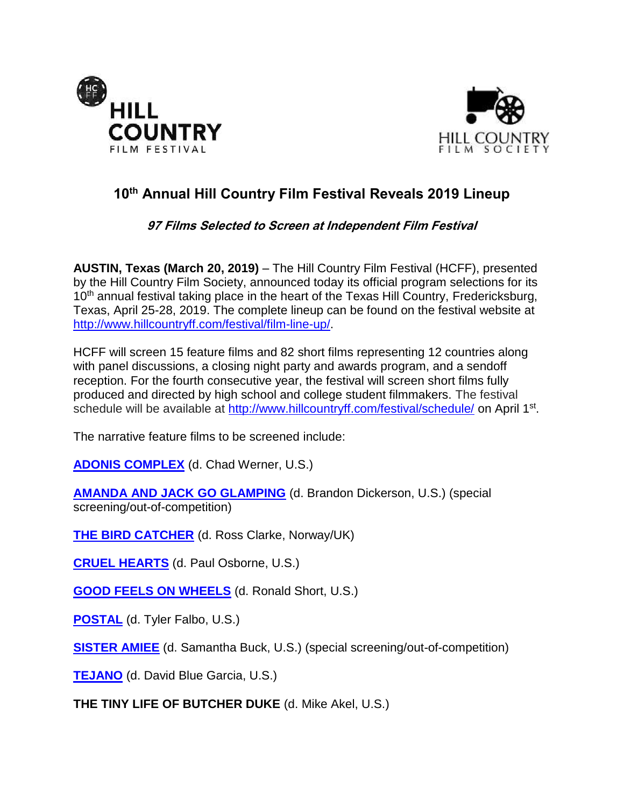



# **10th Annual Hill Country Film Festival Reveals 2019 Lineup**

## **97 Films Selected to Screen at Independent Film Festival**

**AUSTIN, Texas (March 20, 2019)** – The Hill Country Film Festival (HCFF), presented by the Hill Country Film Society, announced today its official program selections for its 10<sup>th</sup> annual festival taking place in the heart of the Texas Hill Country, Fredericksburg, Texas, April 25-28, 2019. The complete lineup can be found on the festival website at [http://www.hillcountryff.com/festival/film-line-up/.](http://www.hillcountryff.com/festival/film-line-up/)

HCFF will screen 15 feature films and 82 short films representing 12 countries along with panel discussions, a closing night party and awards program, and a sendoff reception. For the fourth consecutive year, the festival will screen short films fully produced and directed by high school and college student filmmakers. The festival schedule will be available at<http://www.hillcountryff.com/festival/schedule/> on April 1<sup>st</sup>.

The narrative feature films to be screened include:

**[ADONIS COMPLEX](https://www.imdb.com/title/tt8887784/?ref_=nm_knf_t4)** (d. Chad Werner, U.S.)

**[AMANDA AND JACK GO GLAMPING](https://www.imdb.com/title/tt5578150/)** (d. Brandon Dickerson, U.S.) (special screening/out-of-competition)

**[THE BIRD CATCHER](https://www.imdb.com/title/tt3160336/)** (d. Ross Clarke, Norway/UK)

**[CRUEL HEARTS](https://www.imdb.com/title/tt5031388/?ref_=fn_al_tt_1)** (d. Paul Osborne, U.S.)

**[GOOD FEELS ON WHEELS](https://www.imdb.com/title/tt8554406/)** (d. Ronald Short, U.S.)

**[POSTAL](https://www.imdb.com/title/tt9127488/?ref_=fn_al_nm_1a)** (d. Tyler Falbo, U.S.)

**[SISTER AMIEE](https://www.imdb.com/title/tt8456696/?ref_=ttpl_pl_tt)** (d. Samantha Buck, U.S.) (special screening/out-of-competition)

**[TEJANO](https://www.imdb.com/title/tt8257900/?ref_=fn_al_tt_1)** (d. David Blue Garcia, U.S.)

**THE TINY LIFE OF BUTCHER DUKE** (d. Mike Akel, U.S.)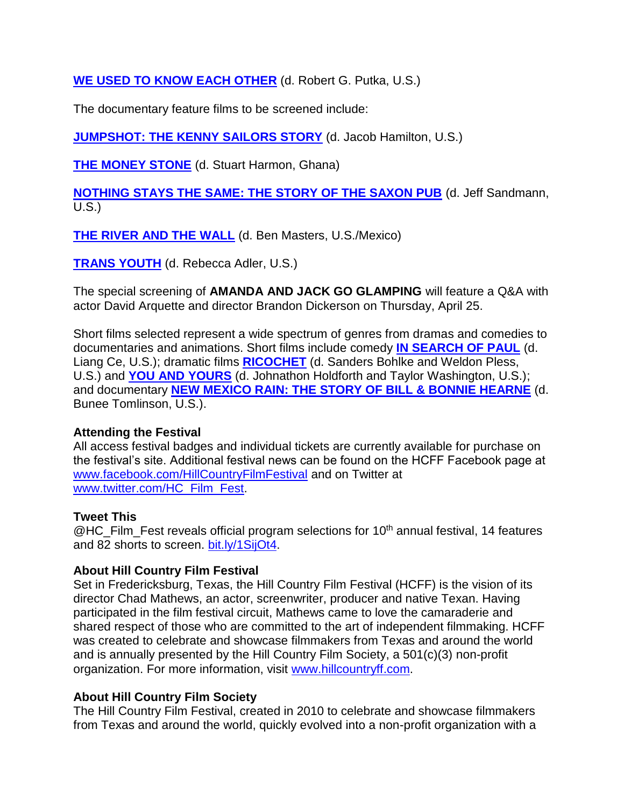**[WE USED TO KNOW EACH OTHER](https://www.imdb.com/title/tt7390126/)** (d. Robert G. Putka, U.S.)

The documentary feature films to be screened include:

**[JUMPSHOT: THE KENNY SAILORS STORY](https://www.imdb.com/title/tt4406392/)** (d. Jacob Hamilton, U.S.)

**[THE MONEY STONE](https://www.imdb.com/title/tt4247182/?ref_=fn_al_tt_1)** (d. Stuart Harmon, Ghana)

**[NOTHING STAYS THE SAME: THE STORY OF THE SAXON PUB](https://www.imdb.com/title/tt9617758/reference)** (d. Jeff Sandmann, U.S.)

**[THE RIVER AND THE WALL](https://www.imdb.com/title/tt8999864/)** (d. Ben Masters, U.S./Mexico)

**[TRANS YOUTH](https://www.imdb.com/title/tt6693312/?ref_=fn_al_tt_1)** (d. Rebecca Adler, U.S.)

The special screening of **AMANDA AND JACK GO GLAMPING** will feature a Q&A with actor David Arquette and director Brandon Dickerson on Thursday, April 25.

Short films selected represent a wide spectrum of genres from dramas and comedies to documentaries and animations. Short films include comedy **[IN SEARCH OF PAUL](https://www.imdb.com/title/tt8372612/?ref_=fn_al_tt_1)** (d. Liang Ce, U.S.); dramatic films **[RICOCHET](https://www.imdb.com/title/tt8390656/)** (d. Sanders Bohlke and Weldon Pless, U.S.) and **[YOU AND](https://www.imdb.com/title/tt8415060/?ref_=fn_al_tt_1) YOURS** (d. Johnathon Holdforth and Taylor Washington, U.S.); and documentary **[NEW MEXICO RAIN: THE STORY OF BILL &](https://www.imdb.com/title/tt9519540/?ref_=fn_al_tt_1) BONNIE HEARNE** (d. Bunee Tomlinson, U.S.).

## **Attending the Festival**

All access festival badges and individual tickets are currently available for purchase on the festival's site. Additional festival news can be found on the HCFF Facebook page at [www.facebook.com/HillCountryFilmFestival](http://www.facebook.com/HillCountryFilmFestival) and on Twitter at [www.twitter.com/HC\\_Film\\_Fest.](http://www.twitter.com/HC_Film_Fest)

## **Tweet This**

 $@$ HC\_Film\_Fest reveals official program selections for 10<sup>th</sup> annual festival, 14 features and 82 shorts to screen. [bit.ly/1SijOt4.](http://bit.ly/1SijOt4)

#### **About Hill Country Film Festival**

Set in Fredericksburg, Texas, the Hill Country Film Festival (HCFF) is the vision of its director Chad Mathews, an actor, screenwriter, producer and native Texan. Having participated in the film festival circuit, Mathews came to love the camaraderie and shared respect of those who are committed to the art of independent filmmaking. HCFF was created to celebrate and showcase filmmakers from Texas and around the world and is annually presented by the Hill Country Film Society, a 501(c)(3) non-profit organization. For more information, visit [www.hillcountryff.com.](http://www.hillcountryff.com/)

## **About Hill Country Film Society**

The Hill Country Film Festival, created in 2010 to celebrate and showcase filmmakers from Texas and around the world, quickly evolved into a non-profit organization with a